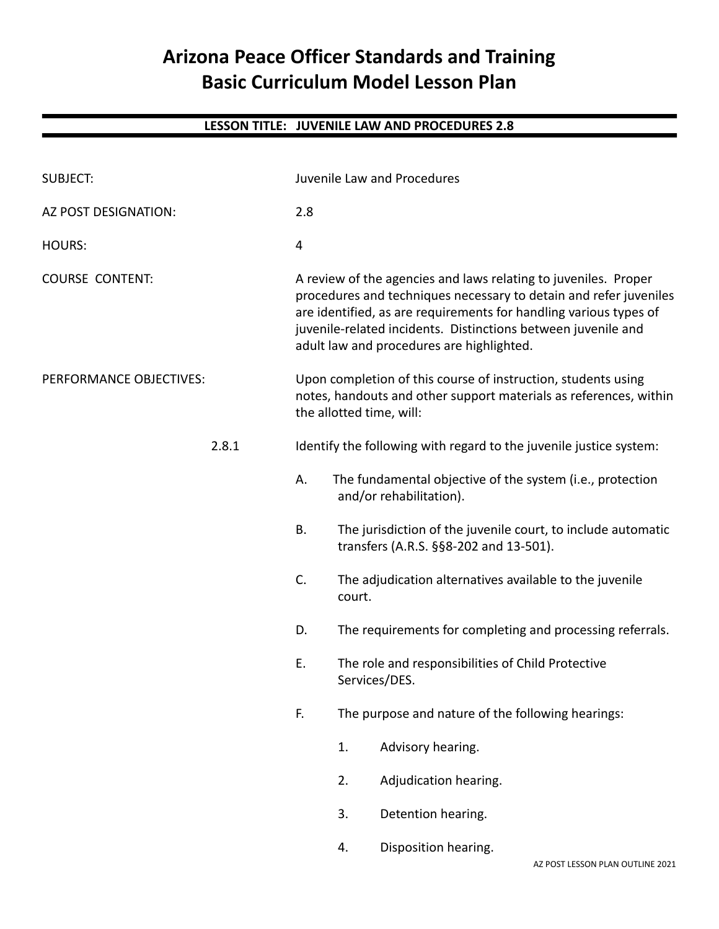# **Arizona Peace Officer Standards and Training Basic Curriculum Model Lesson Plan**

| <b>SUBJECT:</b>         |       | Juvenile Law and Procedures                                                                                                                                    |                                                                                                                                                                                                                                                                                                                         |                                                                                                        |  |
|-------------------------|-------|----------------------------------------------------------------------------------------------------------------------------------------------------------------|-------------------------------------------------------------------------------------------------------------------------------------------------------------------------------------------------------------------------------------------------------------------------------------------------------------------------|--------------------------------------------------------------------------------------------------------|--|
| AZ POST DESIGNATION:    |       | 2.8                                                                                                                                                            |                                                                                                                                                                                                                                                                                                                         |                                                                                                        |  |
| <b>HOURS:</b>           |       | $\overline{4}$                                                                                                                                                 |                                                                                                                                                                                                                                                                                                                         |                                                                                                        |  |
| <b>COURSE CONTENT:</b>  |       |                                                                                                                                                                | A review of the agencies and laws relating to juveniles. Proper<br>procedures and techniques necessary to detain and refer juveniles<br>are identified, as are requirements for handling various types of<br>juvenile-related incidents. Distinctions between juvenile and<br>adult law and procedures are highlighted. |                                                                                                        |  |
| PERFORMANCE OBJECTIVES: |       | Upon completion of this course of instruction, students using<br>notes, handouts and other support materials as references, within<br>the allotted time, will: |                                                                                                                                                                                                                                                                                                                         |                                                                                                        |  |
|                         | 2.8.1 | Identify the following with regard to the juvenile justice system:                                                                                             |                                                                                                                                                                                                                                                                                                                         |                                                                                                        |  |
|                         |       | А.                                                                                                                                                             |                                                                                                                                                                                                                                                                                                                         | The fundamental objective of the system (i.e., protection<br>and/or rehabilitation).                   |  |
|                         |       | <b>B.</b>                                                                                                                                                      |                                                                                                                                                                                                                                                                                                                         | The jurisdiction of the juvenile court, to include automatic<br>transfers (A.R.S. §§8-202 and 13-501). |  |
|                         |       | C.                                                                                                                                                             | court.                                                                                                                                                                                                                                                                                                                  | The adjudication alternatives available to the juvenile                                                |  |
|                         |       | D.                                                                                                                                                             |                                                                                                                                                                                                                                                                                                                         | The requirements for completing and processing referrals.                                              |  |
|                         |       | E.                                                                                                                                                             | The role and responsibilities of Child Protective<br>Services/DES.                                                                                                                                                                                                                                                      |                                                                                                        |  |
|                         |       | F.                                                                                                                                                             | The purpose and nature of the following hearings:                                                                                                                                                                                                                                                                       |                                                                                                        |  |
|                         |       |                                                                                                                                                                | 1.                                                                                                                                                                                                                                                                                                                      | Advisory hearing.                                                                                      |  |
|                         |       |                                                                                                                                                                | 2.                                                                                                                                                                                                                                                                                                                      | Adjudication hearing.                                                                                  |  |
|                         |       |                                                                                                                                                                | 3.                                                                                                                                                                                                                                                                                                                      | Detention hearing.                                                                                     |  |
|                         |       |                                                                                                                                                                | 4.                                                                                                                                                                                                                                                                                                                      | Disposition hearing.                                                                                   |  |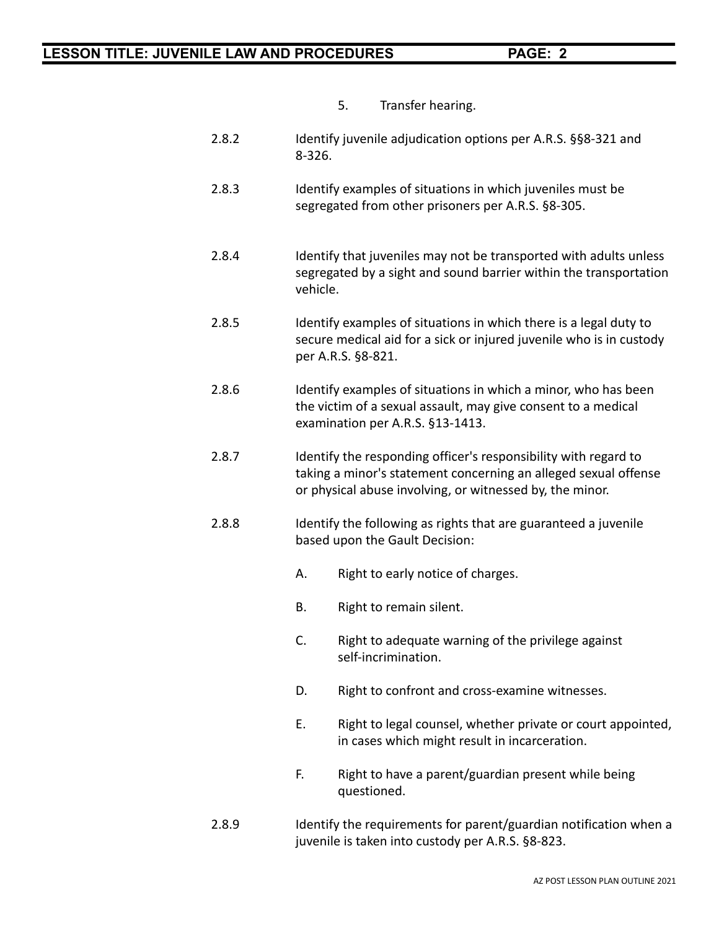- 5. Transfer hearing.
- 2.8.2 Identify juvenile adjudication options per A.R.S. §§8-321 and 8-326.
- 2.8.3 Identify examples of situations in which juveniles must be segregated from other prisoners per A.R.S. §8-305.
- 2.8.4 Identify that juveniles may not be transported with adults unless segregated by a sight and sound barrier within the transportation vehicle.
- 2.8.5 Identify examples of situations in which there is a legal duty to secure medical aid for a sick or injured juvenile who is in custody per A.R.S. §8-821.
- 2.8.6 Identify examples of situations in which a minor, who has been the victim of a sexual assault, may give consent to a medical examination per A.R.S. §13-1413.
- 2.8.7 Identify the responding officer's responsibility with regard to taking a minor's statement concerning an alleged sexual offense or physical abuse involving, or witnessed by, the minor.
- 2.8.8 Identify the following as rights that are guaranteed a juvenile based upon the Gault Decision:
	- A. Right to early notice of charges.
	- B. Right to remain silent.
	- C. Right to adequate warning of the privilege against self-incrimination.
	- D. Right to confront and cross-examine witnesses.
	- E. Right to legal counsel, whether private or court appointed, in cases which might result in incarceration.
	- F. Right to have a parent/guardian present while being questioned.
- 2.8.9 Identify the requirements for parent/guardian notification when a juvenile is taken into custody per A.R.S. §8-823.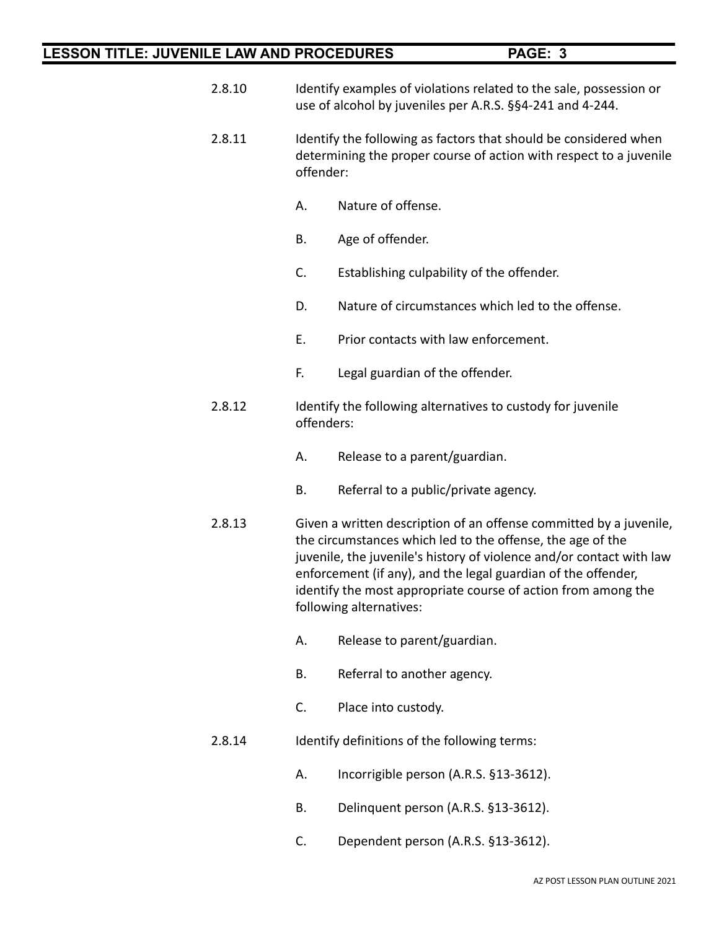- 2.8.10 Identify examples of violations related to the sale, possession or use of alcohol by juveniles per A.R.S. §§4-241 and 4-244.
- 2.8.11 Identify the following as factors that should be considered when determining the proper course of action with respect to a juvenile offender:
	- A. Nature of offense.
	- B. Age of offender.
	- C. Establishing culpability of the offender.
	- D. Nature of circumstances which led to the offense.
	- E. Prior contacts with law enforcement.
	- F. Legal guardian of the offender.
- 2.8.12 Identify the following alternatives to custody for juvenile offenders:
	- A. Release to a parent/guardian.
	- B. Referral to a public/private agency.
- 2.8.13 Given a written description of an offense committed by a juvenile, the circumstances which led to the offense, the age of the juvenile, the juvenile's history of violence and/or contact with law enforcement (if any), and the legal guardian of the offender, identify the most appropriate course of action from among the following alternatives:
	- A. Release to parent/guardian.
	- B. Referral to another agency.
	- C. Place into custody.
- 2.8.14 Identify definitions of the following terms:
	- A. Incorrigible person (A.R.S. §13-3612).
	- B. Delinquent person (A.R.S. §13-3612).
	- C. Dependent person (A.R.S. §13-3612).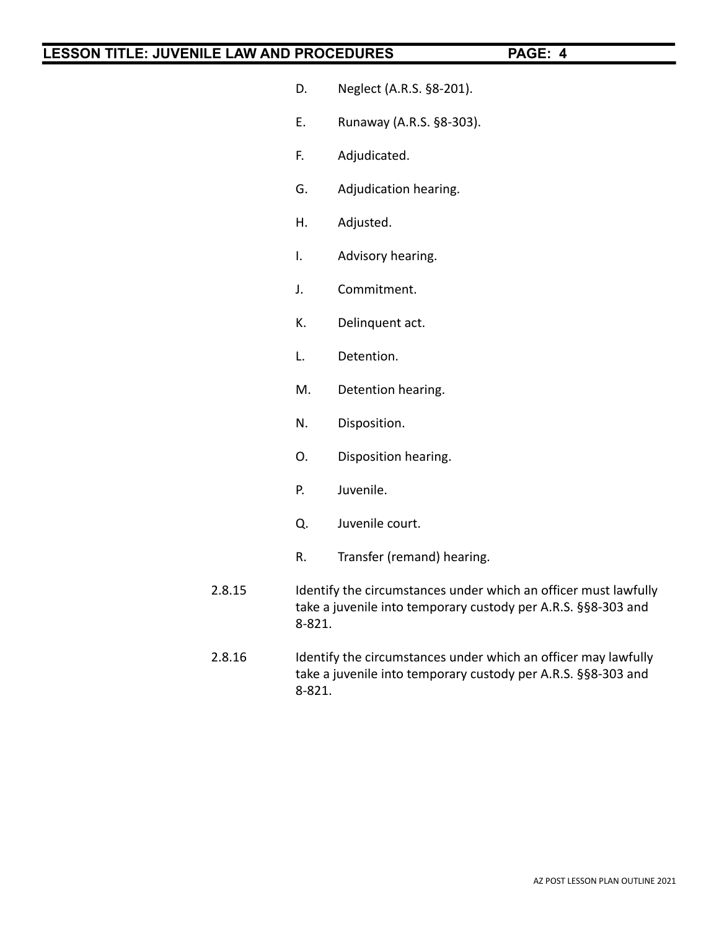- D. Neglect (A.R.S. §8-201).
- E. Runaway (A.R.S. §8-303).
- F. Adjudicated.
- G. Adjudication hearing.
- H. Adjusted.
- I. Advisory hearing.
- J. Commitment.
- K. Delinquent act.
- L. Detention.
- M. Detention hearing.
- N. Disposition.
- O. Disposition hearing.
- P. Juvenile.
- Q. Juvenile court.
- R. Transfer (remand) hearing.
- 2.8.15 Identify the circumstances under which an officer must lawfully take a juvenile into temporary custody per A.R.S. §§8-303 and 8-821.
- 2.8.16 Identify the circumstances under which an officer may lawfully take a juvenile into temporary custody per A.R.S. §§8-303 and 8-821.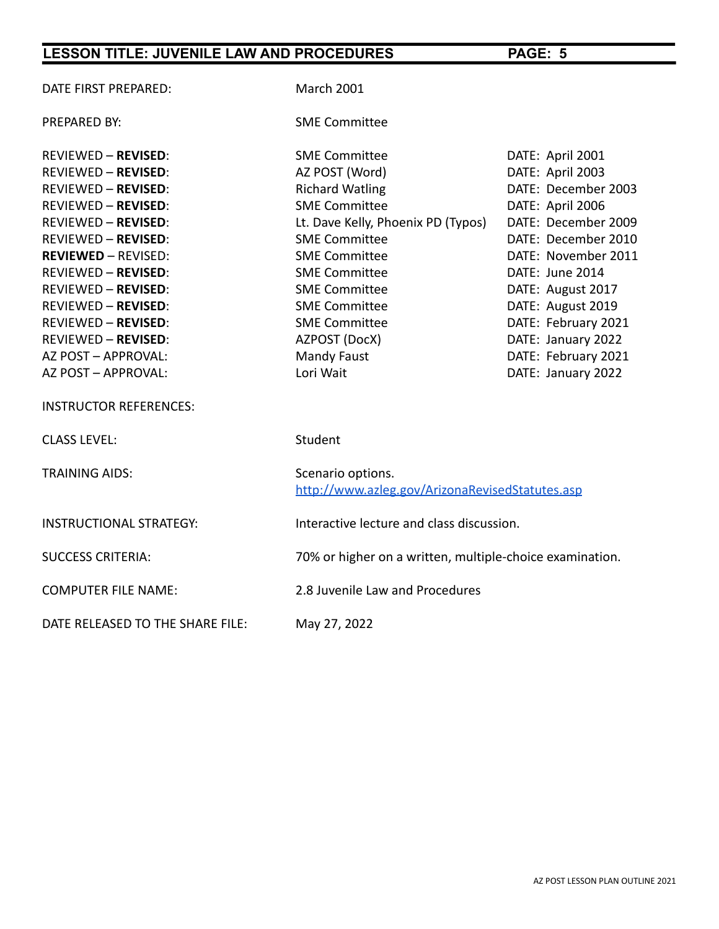| DATE FIRST PREPARED:             | <b>March 2001</b>                                                    |                     |  |
|----------------------------------|----------------------------------------------------------------------|---------------------|--|
| PREPARED BY:                     | <b>SME Committee</b>                                                 |                     |  |
| <b>REVIEWED - REVISED:</b>       | <b>SME Committee</b>                                                 | DATE: April 2001    |  |
| <b>REVIEWED - REVISED:</b>       | AZ POST (Word)                                                       | DATE: April 2003    |  |
| <b>REVIEWED - REVISED:</b>       | <b>Richard Watling</b>                                               | DATE: December 2003 |  |
| <b>REVIEWED - REVISED:</b>       | <b>SME Committee</b>                                                 | DATE: April 2006    |  |
| <b>REVIEWED - REVISED:</b>       | Lt. Dave Kelly, Phoenix PD (Typos)                                   | DATE: December 2009 |  |
| <b>REVIEWED - REVISED:</b>       | <b>SME Committee</b>                                                 | DATE: December 2010 |  |
| <b>REVIEWED - REVISED:</b>       | <b>SME Committee</b>                                                 | DATE: November 2011 |  |
| <b>REVIEWED - REVISED:</b>       | <b>SME Committee</b>                                                 | DATE: June 2014     |  |
| <b>REVIEWED - REVISED:</b>       | <b>SME Committee</b>                                                 | DATE: August 2017   |  |
| <b>REVIEWED - REVISED:</b>       | <b>SME Committee</b>                                                 | DATE: August 2019   |  |
| <b>REVIEWED - REVISED:</b>       | <b>SME Committee</b>                                                 | DATE: February 2021 |  |
| <b>REVIEWED - REVISED:</b>       | AZPOST (DocX)                                                        | DATE: January 2022  |  |
| AZ POST - APPROVAL:              | Mandy Faust                                                          | DATE: February 2021 |  |
| AZ POST - APPROVAL:              | Lori Wait                                                            | DATE: January 2022  |  |
| <b>INSTRUCTOR REFERENCES:</b>    |                                                                      |                     |  |
| <b>CLASS LEVEL:</b>              | Student                                                              |                     |  |
| <b>TRAINING AIDS:</b>            | Scenario options.<br>http://www.azleg.gov/ArizonaRevisedStatutes.asp |                     |  |
| <b>INSTRUCTIONAL STRATEGY:</b>   | Interactive lecture and class discussion.                            |                     |  |
| <b>SUCCESS CRITERIA:</b>         | 70% or higher on a written, multiple-choice examination.             |                     |  |
| <b>COMPUTER FILE NAME:</b>       | 2.8 Juvenile Law and Procedures                                      |                     |  |
| DATE RELEASED TO THE SHARE FILE: | May 27, 2022                                                         |                     |  |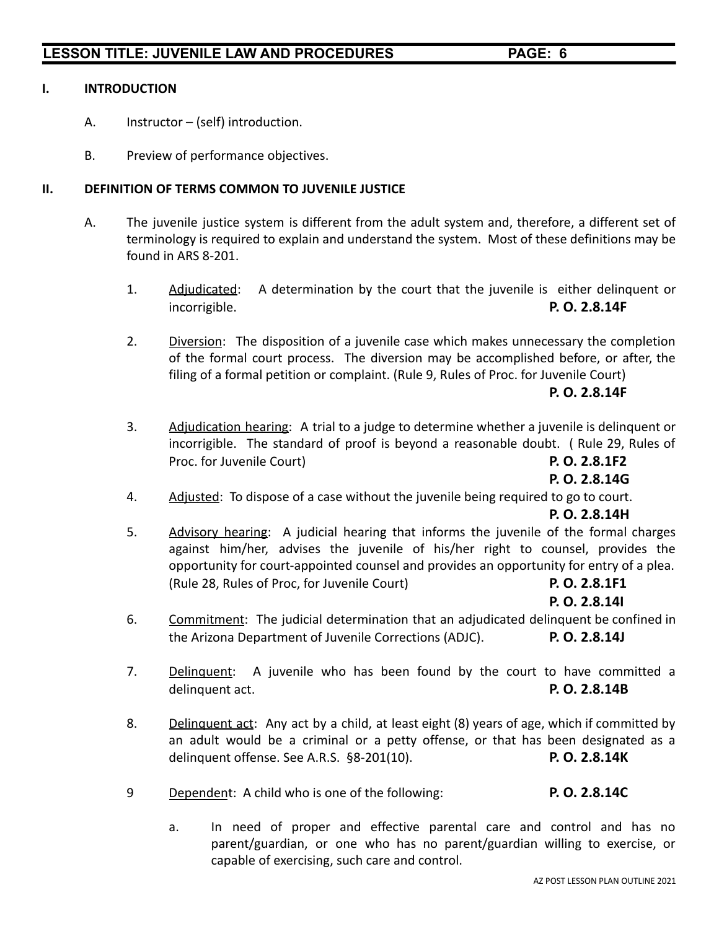### **I. INTRODUCTION**

- A. Instructor (self) introduction.
- B. Preview of performance objectives.

### **II. DEFINITION OF TERMS COMMON TO JUVENILE JUSTICE**

- A. The juvenile justice system is different from the adult system and, therefore, a different set of terminology is required to explain and understand the system. Most of these definitions may be found in ARS 8-201.
	- 1. Adjudicated: A determination by the court that the juvenile is either delinquent or incorrigible. **P. O. 2.8.14F**
	- 2. Diversion: The disposition of a juvenile case which makes unnecessary the completion of the formal court process. The diversion may be accomplished before, or after, the filing of a formal petition or complaint. (Rule 9, Rules of Proc. for Juvenile Court)

### **P. O. 2.8.14F**

3. Adjudication hearing: A trial to a judge to determine whether a juvenile is delinquent or incorrigible. The standard of proof is beyond a reasonable doubt. ( Rule 29, Rules of Proc. for Juvenile Court) **P. O. 2.8.1F2**

**P. O. 2.8.14G**

4. Adjusted: To dispose of a case without the juvenile being required to go to court.

### **P. O. 2.8.14H**

5. Advisory hearing: A judicial hearing that informs the juvenile of the formal charges against him/her, advises the juvenile of his/her right to counsel, provides the opportunity for court-appointed counsel and provides an opportunity for entry of a plea. (Rule 28, Rules of Proc, for Juvenile Court) **P. O. 2.8.1F1**

**P. O. 2.8.14I**

- 6. Commitment: The judicial determination that an adjudicated delinquent be confined in the Arizona Department of Juvenile Corrections (ADJC). **P. O. 2.8.14J**
- 7. Delinquent: A juvenile who has been found by the court to have committed a delinquent act. **P. O. 2.8.14B**
- 8. Delinquent act: Any act by a child, at least eight (8) years of age, which if committed by an adult would be a criminal or a petty offense, or that has been designated as a delinquent offense. See A.R.S. §8-201(10). **P. O. 2.8.14K**
- 9 Dependent: A child who is one of the following: **P. O. 2.8.14C**
	- a. In need of proper and effective parental care and control and has no parent/guardian, or one who has no parent/guardian willing to exercise, or capable of exercising, such care and control.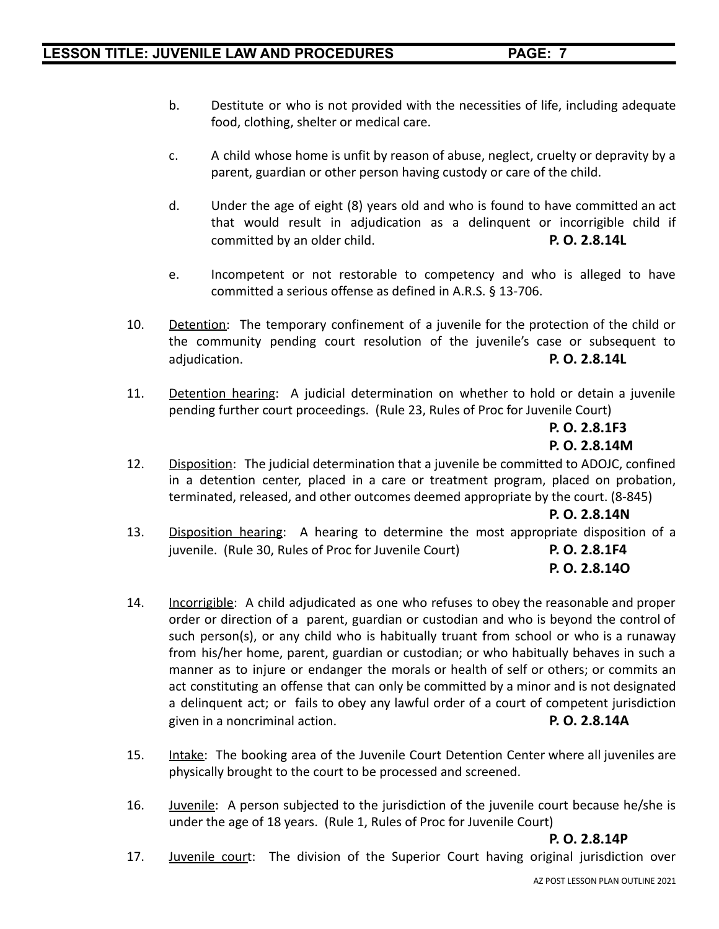- b. Destitute or who is not provided with the necessities of life, including adequate food, clothing, shelter or medical care.
- c. A child whose home is unfit by reason of abuse, neglect, cruelty or depravity by a parent, guardian or other person having custody or care of the child.
- d. Under the age of eight (8) years old and who is found to have committed an act that would result in adjudication as a delinquent or incorrigible child if committed by an older child. **P. O. 2.8.14L**
- e. Incompetent or not restorable to competency and who is alleged to have committed a serious offense as defined in A.R.S. § 13-706.
- 10. Detention: The temporary confinement of a juvenile for the protection of the child or the community pending court resolution of the juvenile's case or subsequent to adjudication. **P. O. 2.8.14L**
- 11. Detention hearing: A judicial determination on whether to hold or detain a juvenile pending further court proceedings. (Rule 23, Rules of Proc for Juvenile Court)

**P. O. 2.8.1F3 P. O. 2.8.14M**

12. Disposition: The judicial determination that a juvenile be committed to ADOJC, confined in a detention center, placed in a care or treatment program, placed on probation, terminated, released, and other outcomes deemed appropriate by the court. (8-845)

### **P. O. 2.8.14N**

13. Disposition hearing: A hearing to determine the most appropriate disposition of a juvenile. (Rule 30, Rules of Proc for Juvenile Court) **P. O. 2.8.1F4**

# **P. O. 2.8.14O**

- 14. Incorrigible: A child adjudicated as one who refuses to obey the reasonable and proper order or direction of a parent, guardian or custodian and who is beyond the control of such person(s), or any child who is habitually truant from school or who is a runaway from his/her home, parent, guardian or custodian; or who habitually behaves in such a manner as to injure or endanger the morals or health of self or others; or commits an act constituting an offense that can only be committed by a minor and is not designated a delinquent act; or fails to obey any lawful order of a court of competent jurisdiction given in a noncriminal action. **P. O. 2.8.14A**
- 15. Intake: The booking area of the Juvenile Court Detention Center where all juveniles are physically brought to the court to be processed and screened.
- 16. Juvenile: A person subjected to the jurisdiction of the juvenile court because he/she is under the age of 18 years. (Rule 1, Rules of Proc for Juvenile Court)

### **P. O. 2.8.14P**

17. Juvenile court: The division of the Superior Court having original jurisdiction over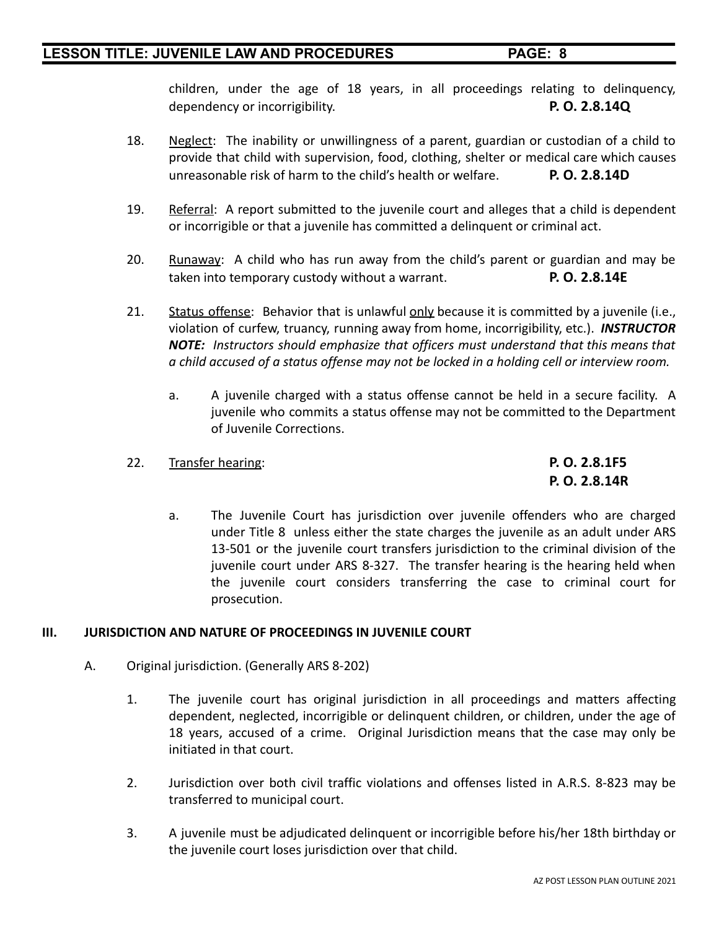children, under the age of 18 years, in all proceedings relating to delinquency, dependency or incorrigibility. **P. O. 2.8.14Q**

- 18. Neglect: The inability or unwillingness of a parent, guardian or custodian of a child to provide that child with supervision, food, clothing, shelter or medical care which causes unreasonable risk of harm to the child's health or welfare. **P. O. 2.8.14D**
- 19. Referral: A report submitted to the juvenile court and alleges that a child is dependent or incorrigible or that a juvenile has committed a delinquent or criminal act.
- 20. Runaway: A child who has run away from the child's parent or guardian and may be taken into temporary custody without a warrant. **P. O. 2.8.14E**
- 21. Status offense: Behavior that is unlawful only because it is committed by a juvenile (i.e., violation of curfew, truancy, running away from home, incorrigibility, etc.). *INSTRUCTOR NOTE: Instructors should emphasize that officers must understand that this means that a child accused of a status offense may not be locked in a holding cell or interview room.*
	- a. A juvenile charged with a status offense cannot be held in a secure facility. A juvenile who commits a status offense may not be committed to the Department of Juvenile Corrections.

### 22. Transfer hearing: **P. O. 2.8.1F5**

**P. O. 2.8.14R**

a. The Juvenile Court has jurisdiction over juvenile offenders who are charged under Title 8 unless either the state charges the juvenile as an adult under ARS 13-501 or the juvenile court transfers jurisdiction to the criminal division of the juvenile court under ARS 8-327. The transfer hearing is the hearing held when the juvenile court considers transferring the case to criminal court for prosecution.

### **III. JURISDICTION AND NATURE OF PROCEEDINGS IN JUVENILE COURT**

- A. Original jurisdiction. (Generally ARS 8-202)
	- 1. The juvenile court has original jurisdiction in all proceedings and matters affecting dependent, neglected, incorrigible or delinquent children, or children, under the age of 18 years, accused of a crime. Original Jurisdiction means that the case may only be initiated in that court.
	- 2. Jurisdiction over both civil traffic violations and offenses listed in A.R.S. 8-823 may be transferred to municipal court.
	- 3. A juvenile must be adjudicated delinquent or incorrigible before his/her 18th birthday or the juvenile court loses jurisdiction over that child.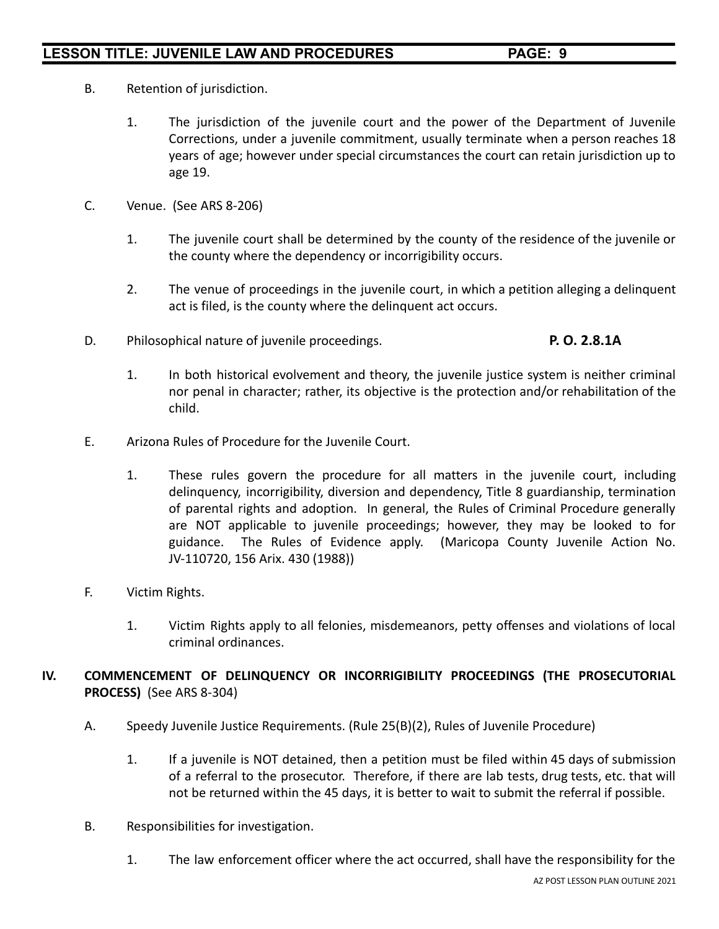- B. Retention of jurisdiction.
	- 1. The jurisdiction of the juvenile court and the power of the Department of Juvenile Corrections, under a juvenile commitment, usually terminate when a person reaches 18 years of age; however under special circumstances the court can retain jurisdiction up to age 19.
- C. Venue. (See ARS 8-206)
	- 1. The juvenile court shall be determined by the county of the residence of the juvenile or the county where the dependency or incorrigibility occurs.
	- 2. The venue of proceedings in the juvenile court, in which a petition alleging a delinquent act is filed, is the county where the delinquent act occurs.
- D. Philosophical nature of juvenile proceedings. **P. O. 2.8.1A**

- 1. In both historical evolvement and theory, the juvenile justice system is neither criminal nor penal in character; rather, its objective is the protection and/or rehabilitation of the child.
- E. Arizona Rules of Procedure for the Juvenile Court.
	- 1. These rules govern the procedure for all matters in the juvenile court, including delinquency, incorrigibility, diversion and dependency, Title 8 guardianship, termination of parental rights and adoption. In general, the Rules of Criminal Procedure generally are NOT applicable to juvenile proceedings; however, they may be looked to for guidance. The Rules of Evidence apply. (Maricopa County Juvenile Action No. JV-110720, 156 Arix. 430 (1988))
- F. Victim Rights.
	- 1. Victim Rights apply to all felonies, misdemeanors, petty offenses and violations of local criminal ordinances.
- **IV. COMMENCEMENT OF DELINQUENCY OR INCORRIGIBILITY PROCEEDINGS (THE PROSECUTORIAL PROCESS)** (See ARS 8-304)
	- A. Speedy Juvenile Justice Requirements. (Rule 25(B)(2), Rules of Juvenile Procedure)
		- 1. If a juvenile is NOT detained, then a petition must be filed within 45 days of submission of a referral to the prosecutor. Therefore, if there are lab tests, drug tests, etc. that will not be returned within the 45 days, it is better to wait to submit the referral if possible.
	- B. Responsibilities for investigation.
		- 1. The law enforcement officer where the act occurred, shall have the responsibility for the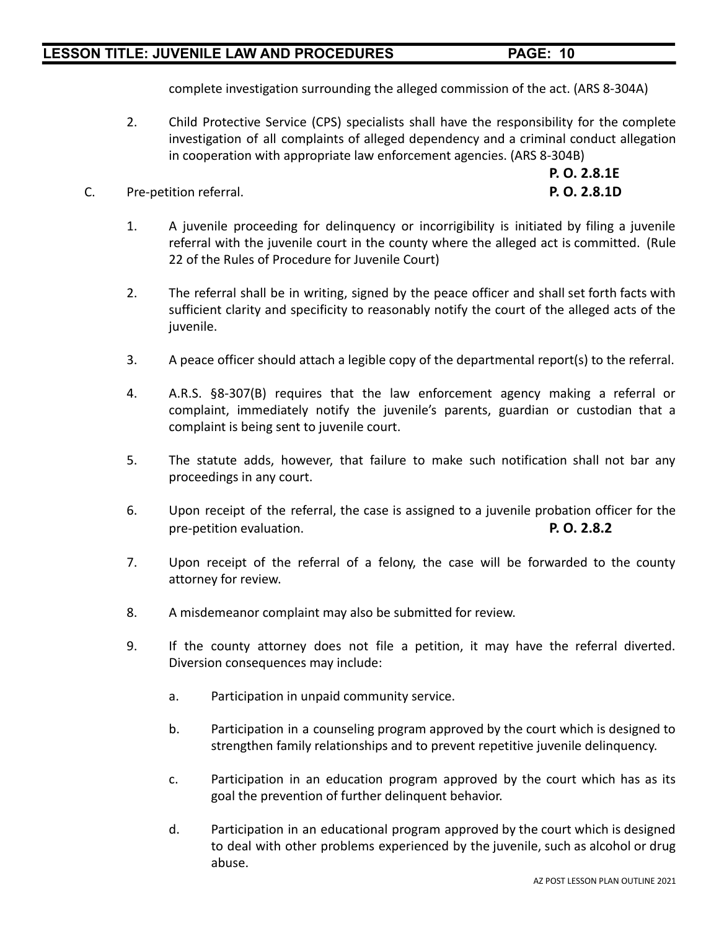complete investigation surrounding the alleged commission of the act. (ARS 8-304A)

- 2. Child Protective Service (CPS) specialists shall have the responsibility for the complete investigation of all complaints of alleged dependency and a criminal conduct allegation in cooperation with appropriate law enforcement agencies. (ARS 8-304B)
- C. Pre-petition referral. **P. O. 2.8.1D**

**P. O. 2.8.1E**

- 1. A juvenile proceeding for delinquency or incorrigibility is initiated by filing a juvenile referral with the juvenile court in the county where the alleged act is committed. (Rule 22 of the Rules of Procedure for Juvenile Court)
- 2. The referral shall be in writing, signed by the peace officer and shall set forth facts with sufficient clarity and specificity to reasonably notify the court of the alleged acts of the juvenile.
- 3. A peace officer should attach a legible copy of the departmental report(s) to the referral.
- 4. A.R.S. §8-307(B) requires that the law enforcement agency making a referral or complaint, immediately notify the juvenile's parents, guardian or custodian that a complaint is being sent to juvenile court.
- 5. The statute adds, however, that failure to make such notification shall not bar any proceedings in any court.
- 6. Upon receipt of the referral, the case is assigned to a juvenile probation officer for the pre-petition evaluation. **P. O. 2.8.2**
- 7. Upon receipt of the referral of a felony, the case will be forwarded to the county attorney for review.
- 8. A misdemeanor complaint may also be submitted for review.
- 9. If the county attorney does not file a petition, it may have the referral diverted. Diversion consequences may include:
	- a. Participation in unpaid community service.
	- b. Participation in a counseling program approved by the court which is designed to strengthen family relationships and to prevent repetitive juvenile delinquency.
	- c. Participation in an education program approved by the court which has as its goal the prevention of further delinquent behavior.
	- d. Participation in an educational program approved by the court which is designed to deal with other problems experienced by the juvenile, such as alcohol or drug abuse.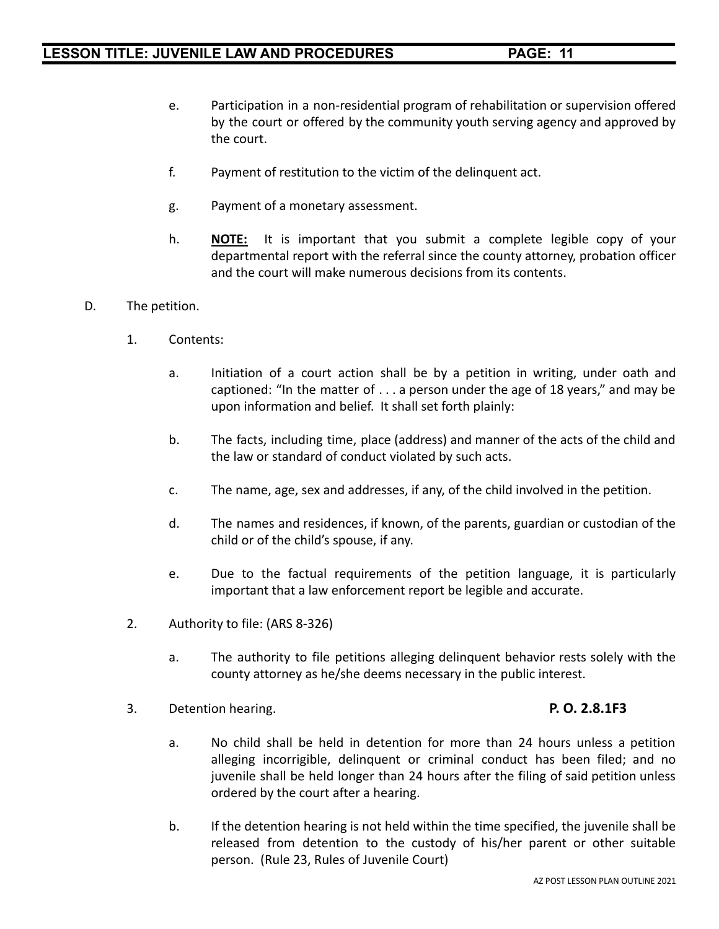- e. Participation in a non-residential program of rehabilitation or supervision offered by the court or offered by the community youth serving agency and approved by the court.
- f. Payment of restitution to the victim of the delinquent act.
- g. Payment of a monetary assessment.
- h. **NOTE:** It is important that you submit a complete legible copy of your departmental report with the referral since the county attorney, probation officer and the court will make numerous decisions from its contents.
- D. The petition.
	- 1. Contents:
		- a. Initiation of a court action shall be by a petition in writing, under oath and captioned: "In the matter of . . . a person under the age of 18 years," and may be upon information and belief. It shall set forth plainly:
		- b. The facts, including time, place (address) and manner of the acts of the child and the law or standard of conduct violated by such acts.
		- c. The name, age, sex and addresses, if any, of the child involved in the petition.
		- d. The names and residences, if known, of the parents, guardian or custodian of the child or of the child's spouse, if any.
		- e. Due to the factual requirements of the petition language, it is particularly important that a law enforcement report be legible and accurate.
	- 2. Authority to file: (ARS 8-326)
		- a. The authority to file petitions alleging delinquent behavior rests solely with the county attorney as he/she deems necessary in the public interest.
	- 3. Detention hearing. **P. O. 2.8.1F3**

- a. No child shall be held in detention for more than 24 hours unless a petition alleging incorrigible, delinquent or criminal conduct has been filed; and no juvenile shall be held longer than 24 hours after the filing of said petition unless ordered by the court after a hearing.
- b. If the detention hearing is not held within the time specified, the juvenile shall be released from detention to the custody of his/her parent or other suitable person. (Rule 23, Rules of Juvenile Court)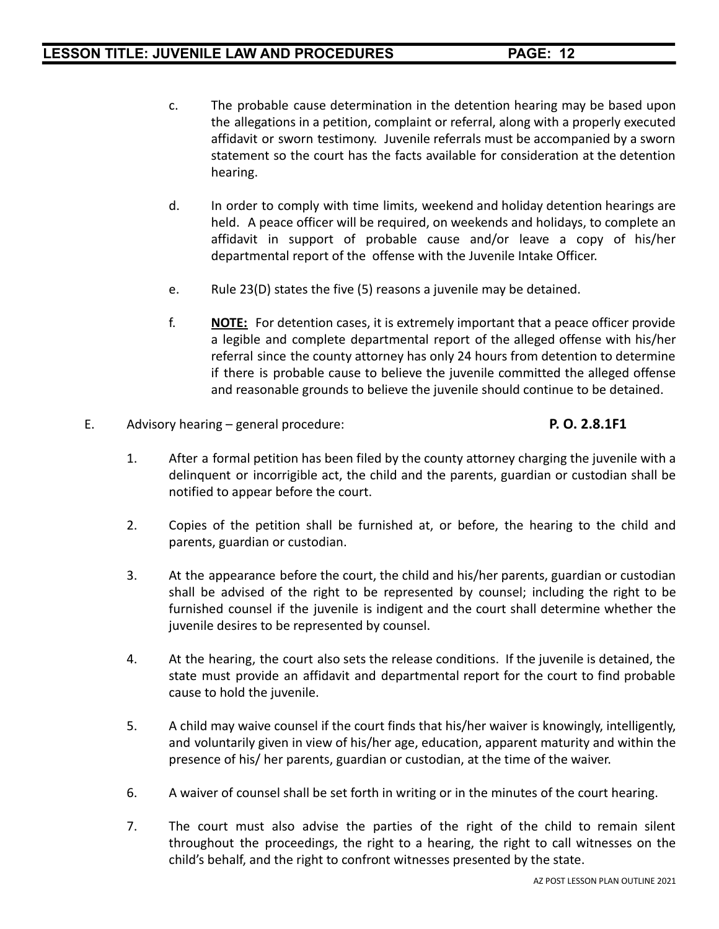- c. The probable cause determination in the detention hearing may be based upon the allegations in a petition, complaint or referral, along with a properly executed affidavit or sworn testimony. Juvenile referrals must be accompanied by a sworn statement so the court has the facts available for consideration at the detention hearing.
- d. In order to comply with time limits, weekend and holiday detention hearings are held. A peace officer will be required, on weekends and holidays, to complete an affidavit in support of probable cause and/or leave a copy of his/her departmental report of the offense with the Juvenile Intake Officer.
- e. Rule 23(D) states the five (5) reasons a juvenile may be detained.
- f. **NOTE:** For detention cases, it is extremely important that a peace officer provide a legible and complete departmental report of the alleged offense with his/her referral since the county attorney has only 24 hours from detention to determine if there is probable cause to believe the juvenile committed the alleged offense and reasonable grounds to believe the juvenile should continue to be detained.
- E. Advisory hearing general procedure: **P. O. 2.8.1F1**

- 1. After a formal petition has been filed by the county attorney charging the juvenile with a delinquent or incorrigible act, the child and the parents, guardian or custodian shall be notified to appear before the court.
- 2. Copies of the petition shall be furnished at, or before, the hearing to the child and parents, guardian or custodian.
- 3. At the appearance before the court, the child and his/her parents, guardian or custodian shall be advised of the right to be represented by counsel; including the right to be furnished counsel if the juvenile is indigent and the court shall determine whether the juvenile desires to be represented by counsel.
- 4. At the hearing, the court also sets the release conditions. If the juvenile is detained, the state must provide an affidavit and departmental report for the court to find probable cause to hold the juvenile.
- 5. A child may waive counsel if the court finds that his/her waiver is knowingly, intelligently, and voluntarily given in view of his/her age, education, apparent maturity and within the presence of his/ her parents, guardian or custodian, at the time of the waiver.
- 6. A waiver of counsel shall be set forth in writing or in the minutes of the court hearing.
- 7. The court must also advise the parties of the right of the child to remain silent throughout the proceedings, the right to a hearing, the right to call witnesses on the child's behalf, and the right to confront witnesses presented by the state.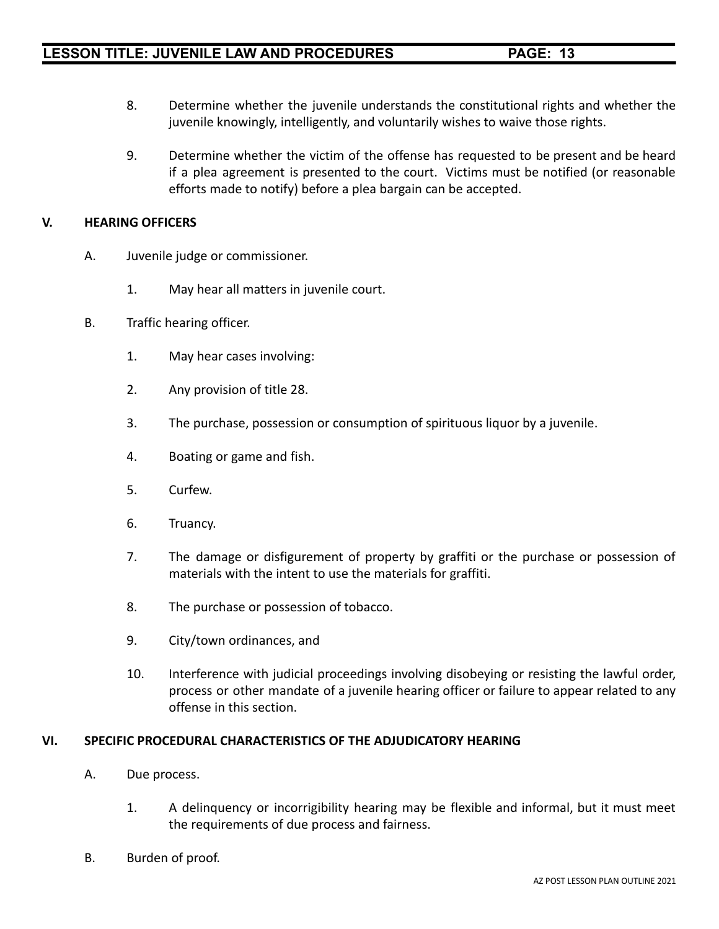- 8. Determine whether the juvenile understands the constitutional rights and whether the juvenile knowingly, intelligently, and voluntarily wishes to waive those rights.
- 9. Determine whether the victim of the offense has requested to be present and be heard if a plea agreement is presented to the court. Victims must be notified (or reasonable efforts made to notify) before a plea bargain can be accepted.

### **V. HEARING OFFICERS**

- A. Juvenile judge or commissioner.
	- 1. May hear all matters in juvenile court.
- B. Traffic hearing officer.
	- 1. May hear cases involving:
	- 2. Any provision of title 28.
	- 3. The purchase, possession or consumption of spirituous liquor by a juvenile.
	- 4. Boating or game and fish.
	- 5. Curfew.
	- 6. Truancy.
	- 7. The damage or disfigurement of property by graffiti or the purchase or possession of materials with the intent to use the materials for graffiti.
	- 8. The purchase or possession of tobacco.
	- 9. City/town ordinances, and
	- 10. Interference with judicial proceedings involving disobeying or resisting the lawful order, process or other mandate of a juvenile hearing officer or failure to appear related to any offense in this section.

### **VI. SPECIFIC PROCEDURAL CHARACTERISTICS OF THE ADJUDICATORY HEARING**

- A. Due process.
	- 1. A delinquency or incorrigibility hearing may be flexible and informal, but it must meet the requirements of due process and fairness.
- B. Burden of proof.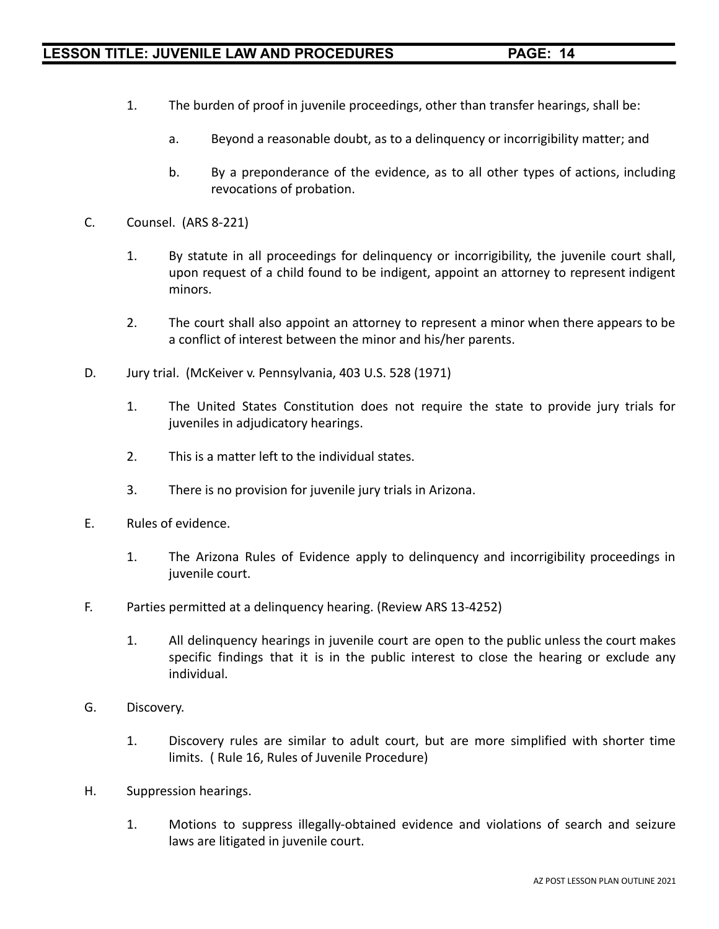- 1. The burden of proof in juvenile proceedings, other than transfer hearings, shall be:
	- a. Beyond a reasonable doubt, as to a delinquency or incorrigibility matter; and
	- b. By a preponderance of the evidence, as to all other types of actions, including revocations of probation.
- C. Counsel. (ARS 8-221)
	- 1. By statute in all proceedings for delinquency or incorrigibility, the juvenile court shall, upon request of a child found to be indigent, appoint an attorney to represent indigent minors.
	- 2. The court shall also appoint an attorney to represent a minor when there appears to be a conflict of interest between the minor and his/her parents.
- D. Jury trial. (McKeiver v. Pennsylvania, 403 U.S. 528 (1971)
	- 1. The United States Constitution does not require the state to provide jury trials for juveniles in adjudicatory hearings.
	- 2. This is a matter left to the individual states.
	- 3. There is no provision for juvenile jury trials in Arizona.
- E. Rules of evidence.
	- 1. The Arizona Rules of Evidence apply to delinquency and incorrigibility proceedings in juvenile court.
- F. Parties permitted at a delinquency hearing. (Review ARS 13-4252)
	- 1. All delinquency hearings in juvenile court are open to the public unless the court makes specific findings that it is in the public interest to close the hearing or exclude any individual.
- G. Discovery.
	- 1. Discovery rules are similar to adult court, but are more simplified with shorter time limits. ( Rule 16, Rules of Juvenile Procedure)
- H. Suppression hearings.
	- 1. Motions to suppress illegally-obtained evidence and violations of search and seizure laws are litigated in juvenile court.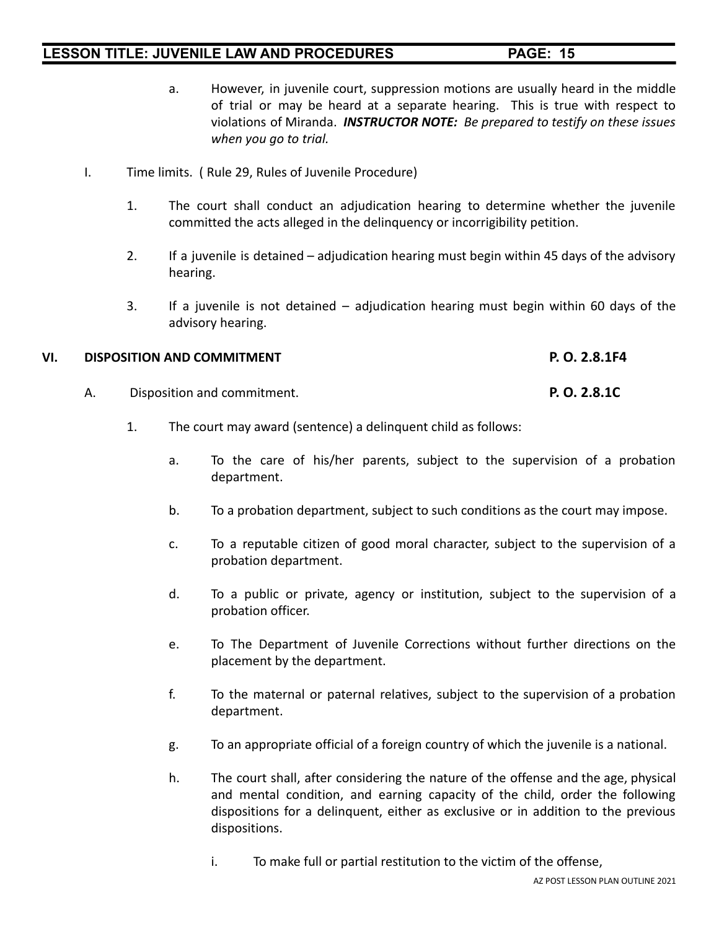- a. However, in juvenile court, suppression motions are usually heard in the middle of trial or may be heard at a separate hearing. This is true with respect to violations of Miranda. *INSTRUCTOR NOTE: Be prepared to testify on these issues when you go to trial.*
- I. Time limits. ( Rule 29, Rules of Juvenile Procedure)
	- 1. The court shall conduct an adjudication hearing to determine whether the juvenile committed the acts alleged in the delinquency or incorrigibility petition.
	- 2. If a juvenile is detained adjudication hearing must begin within 45 days of the advisory hearing.
	- 3. If a juvenile is not detained adjudication hearing must begin within 60 days of the advisory hearing.

### **VI. DISPOSITION AND COMMITMENT P. O. 2.8.1F4**

- A. Disposition and commitment. **P. O. 2.8.1C**
	- 1. The court may award (sentence) a delinquent child as follows:
		- a. To the care of his/her parents, subject to the supervision of a probation department.
		- b. To a probation department, subject to such conditions as the court may impose.
		- c. To a reputable citizen of good moral character, subject to the supervision of a probation department.
		- d. To a public or private, agency or institution, subject to the supervision of a probation officer.
		- e. To The Department of Juvenile Corrections without further directions on the placement by the department.
		- f. To the maternal or paternal relatives, subject to the supervision of a probation department.
		- g. To an appropriate official of a foreign country of which the juvenile is a national.
		- h. The court shall, after considering the nature of the offense and the age, physical and mental condition, and earning capacity of the child, order the following dispositions for a delinquent, either as exclusive or in addition to the previous dispositions.
			- i. To make full or partial restitution to the victim of the offense,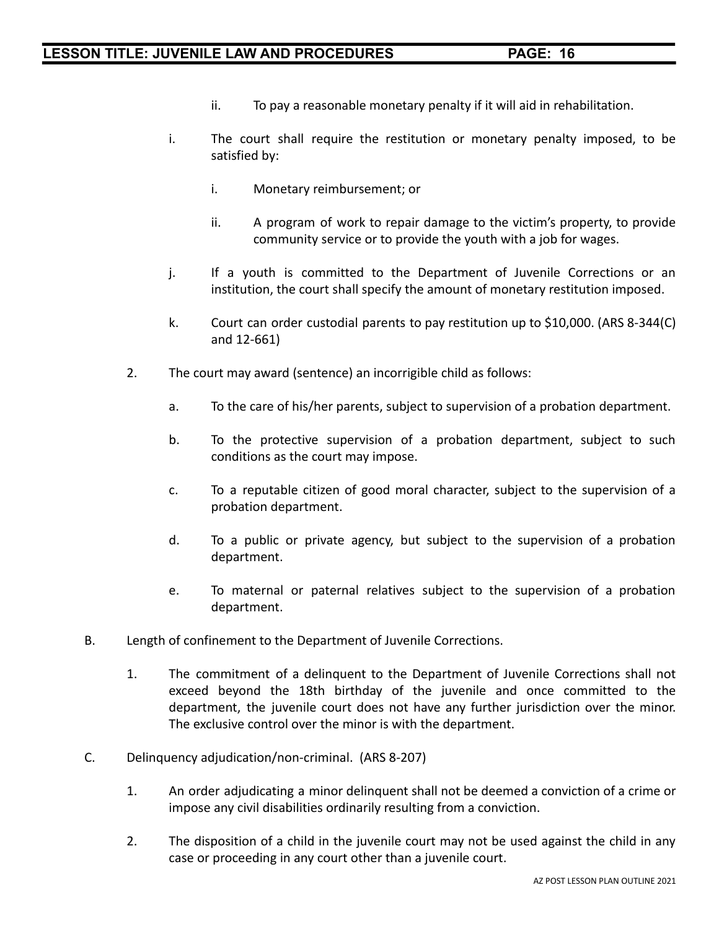- ii. To pay a reasonable monetary penalty if it will aid in rehabilitation.
- i. The court shall require the restitution or monetary penalty imposed, to be satisfied by:
	- i. Monetary reimbursement; or
	- ii. A program of work to repair damage to the victim's property, to provide community service or to provide the youth with a job for wages.
- j. If a youth is committed to the Department of Juvenile Corrections or an institution, the court shall specify the amount of monetary restitution imposed.
- k. Court can order custodial parents to pay restitution up to \$10,000. (ARS 8-344(C) and 12-661)
- 2. The court may award (sentence) an incorrigible child as follows:
	- a. To the care of his/her parents, subject to supervision of a probation department.
	- b. To the protective supervision of a probation department, subject to such conditions as the court may impose.
	- c. To a reputable citizen of good moral character, subject to the supervision of a probation department.
	- d. To a public or private agency, but subject to the supervision of a probation department.
	- e. To maternal or paternal relatives subject to the supervision of a probation department.
- B. Length of confinement to the Department of Juvenile Corrections.
	- 1. The commitment of a delinquent to the Department of Juvenile Corrections shall not exceed beyond the 18th birthday of the juvenile and once committed to the department, the juvenile court does not have any further jurisdiction over the minor. The exclusive control over the minor is with the department.
- C. Delinquency adjudication/non-criminal. (ARS 8-207)
	- 1. An order adjudicating a minor delinquent shall not be deemed a conviction of a crime or impose any civil disabilities ordinarily resulting from a conviction.
	- 2. The disposition of a child in the juvenile court may not be used against the child in any case or proceeding in any court other than a juvenile court.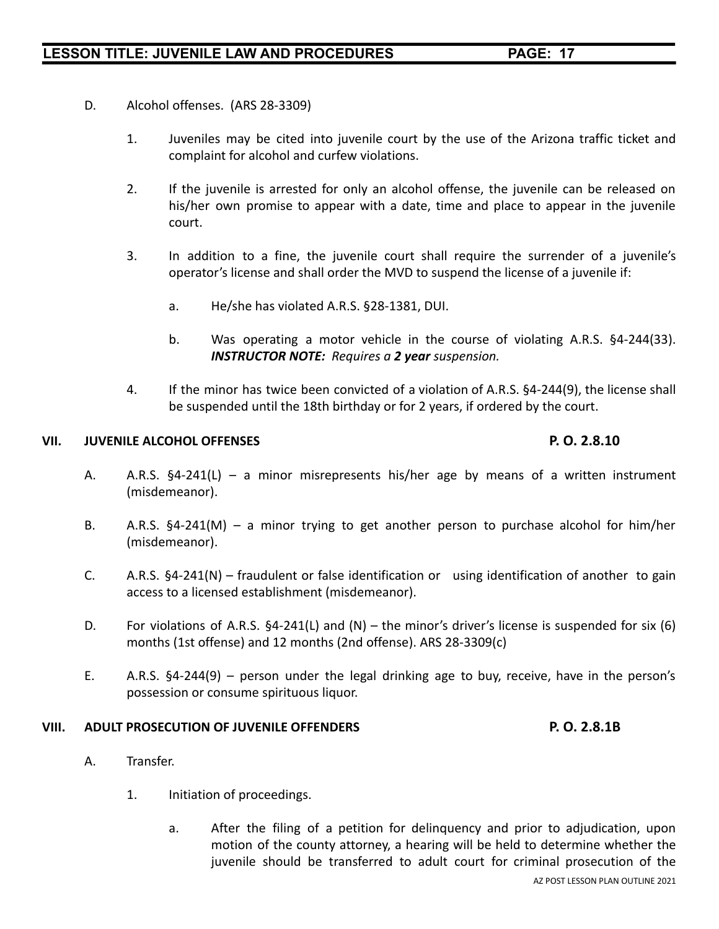- D. Alcohol offenses. (ARS 28-3309)
	- 1. Juveniles may be cited into juvenile court by the use of the Arizona traffic ticket and complaint for alcohol and curfew violations.
	- 2. If the juvenile is arrested for only an alcohol offense, the juvenile can be released on his/her own promise to appear with a date, time and place to appear in the juvenile court.
	- 3. In addition to a fine, the juvenile court shall require the surrender of a juvenile's operator's license and shall order the MVD to suspend the license of a juvenile if:
		- a. He/she has violated A.R.S. §28-1381, DUI.
		- b. Was operating a motor vehicle in the course of violating A.R.S. §4-244(33). *INSTRUCTOR NOTE: Requires a 2 year suspension.*
	- 4. If the minor has twice been convicted of a violation of A.R.S. §4-244(9), the license shall be suspended until the 18th birthday or for 2 years, if ordered by the court.

### **VII. JUVENILE ALCOHOL OFFENSES P. O. 2.8.10**

- A. A.R.S. §4-241(L) a minor misrepresents his/her age by means of a written instrument (misdemeanor).
- B. A.R.S. §4-241(M) a minor trying to get another person to purchase alcohol for him/her (misdemeanor).
- C. A.R.S. §4-241(N) fraudulent or false identification or using identification of another to gain access to a licensed establishment (misdemeanor).
- D. For violations of A.R.S. §4-241(L) and (N) the minor's driver's license is suspended for six (6) months (1st offense) and 12 months (2nd offense). ARS 28-3309(c)
- E. A.R.S. §4-244(9) person under the legal drinking age to buy, receive, have in the person's possession or consume spirituous liquor.

### **VIII. ADULT PROSECUTION OF JUVENILE OFFENDERS P. O. 2.8.1B**

- A. Transfer.
	- 1. Initiation of proceedings.
		- a. After the filing of a petition for delinquency and prior to adjudication, upon motion of the county attorney, a hearing will be held to determine whether the juvenile should be transferred to adult court for criminal prosecution of the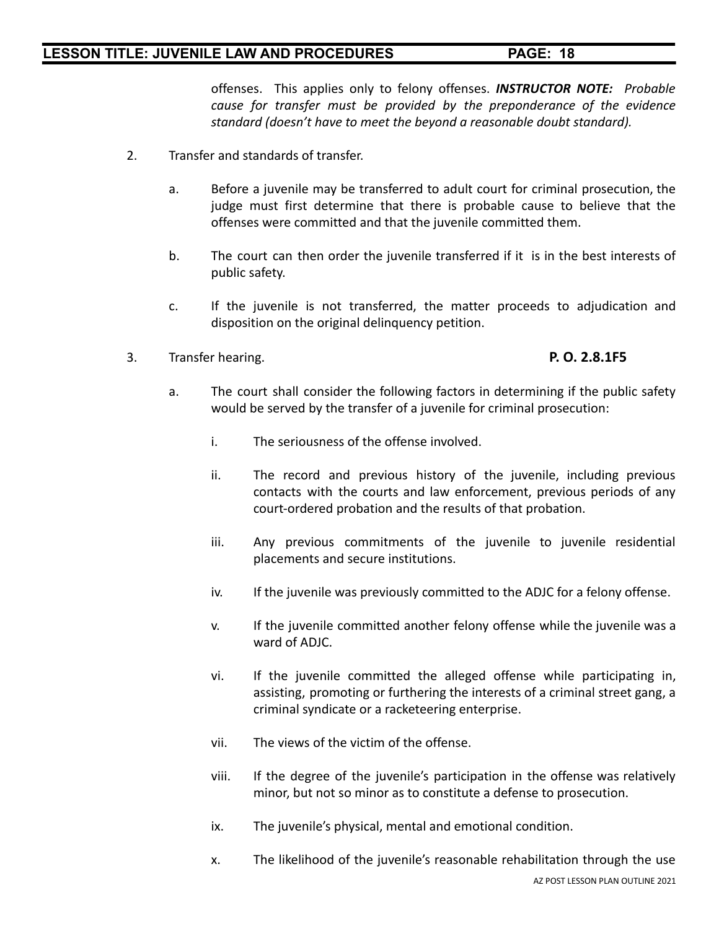offenses. This applies only to felony offenses. *INSTRUCTOR NOTE: Probable cause for transfer must be provided by the preponderance of the evidence standard (doesn't have to meet the beyond a reasonable doubt standard).*

- 2. Transfer and standards of transfer.
	- a. Before a juvenile may be transferred to adult court for criminal prosecution, the judge must first determine that there is probable cause to believe that the offenses were committed and that the juvenile committed them.
	- b. The court can then order the juvenile transferred if it is in the best interests of public safety.
	- c. If the juvenile is not transferred, the matter proceeds to adjudication and disposition on the original delinquency petition.
- 3. Transfer hearing. **P. O. 2.8.1F5**

- a. The court shall consider the following factors in determining if the public safety would be served by the transfer of a juvenile for criminal prosecution:
	- i. The seriousness of the offense involved.
	- ii. The record and previous history of the juvenile, including previous contacts with the courts and law enforcement, previous periods of any court-ordered probation and the results of that probation.
	- iii. Any previous commitments of the juvenile to juvenile residential placements and secure institutions.
	- iv. If the juvenile was previously committed to the ADJC for a felony offense.
	- v. If the juvenile committed another felony offense while the juvenile was a ward of ADJC.
	- vi. If the juvenile committed the alleged offense while participating in, assisting, promoting or furthering the interests of a criminal street gang, a criminal syndicate or a racketeering enterprise.
	- vii. The views of the victim of the offense.
	- viii. If the degree of the juvenile's participation in the offense was relatively minor, but not so minor as to constitute a defense to prosecution.
	- ix. The juvenile's physical, mental and emotional condition.
	- x. The likelihood of the juvenile's reasonable rehabilitation through the use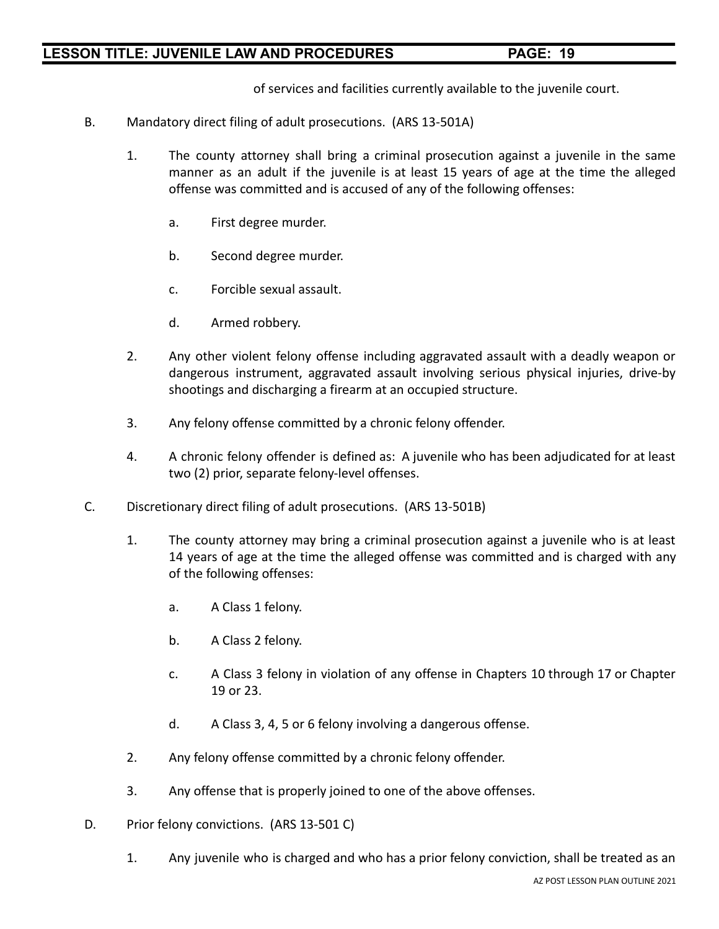of services and facilities currently available to the juvenile court.

- B. Mandatory direct filing of adult prosecutions. (ARS 13-501A)
	- 1. The county attorney shall bring a criminal prosecution against a juvenile in the same manner as an adult if the juvenile is at least 15 years of age at the time the alleged offense was committed and is accused of any of the following offenses:
		- a. First degree murder.
		- b. Second degree murder.
		- c. Forcible sexual assault.
		- d. Armed robbery.
	- 2. Any other violent felony offense including aggravated assault with a deadly weapon or dangerous instrument, aggravated assault involving serious physical injuries, drive-by shootings and discharging a firearm at an occupied structure.
	- 3. Any felony offense committed by a chronic felony offender.
	- 4. A chronic felony offender is defined as: A juvenile who has been adjudicated for at least two (2) prior, separate felony-level offenses.
- C. Discretionary direct filing of adult prosecutions. (ARS 13-501B)
	- 1. The county attorney may bring a criminal prosecution against a juvenile who is at least 14 years of age at the time the alleged offense was committed and is charged with any of the following offenses:
		- a. A Class 1 felony.
		- b. A Class 2 felony.
		- c. A Class 3 felony in violation of any offense in Chapters 10 through 17 or Chapter 19 or 23.
		- d. A Class 3, 4, 5 or 6 felony involving a dangerous offense.
	- 2. Any felony offense committed by a chronic felony offender.
	- 3. Any offense that is properly joined to one of the above offenses.
- D. Prior felony convictions. (ARS 13-501 C)
	- 1. Any juvenile who is charged and who has a prior felony conviction, shall be treated as an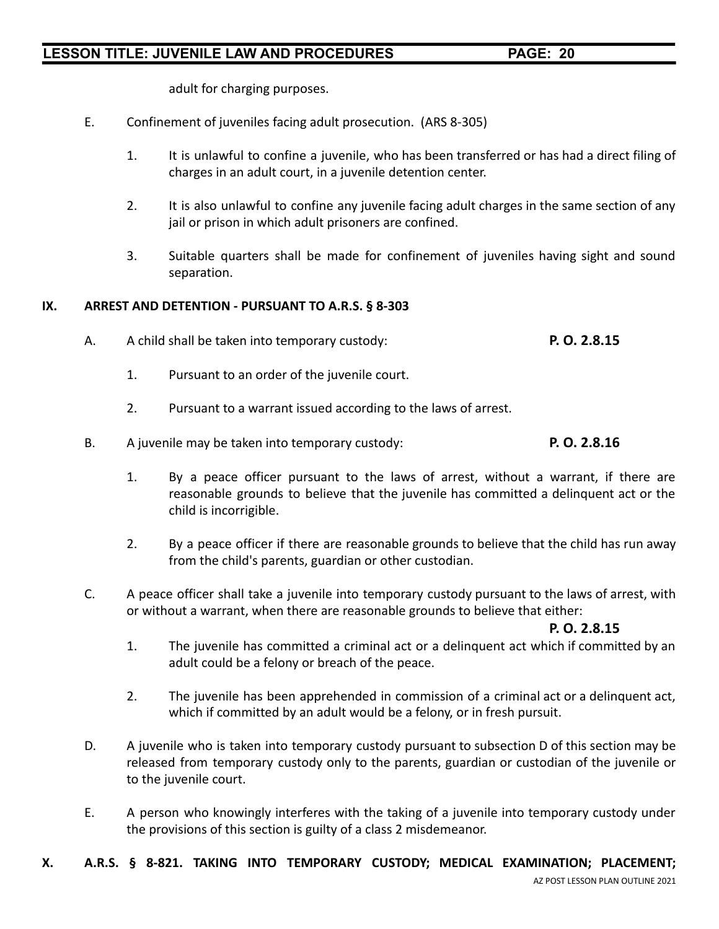adult for charging purposes.

- E. Confinement of juveniles facing adult prosecution. (ARS 8-305)
	- 1. It is unlawful to confine a juvenile, who has been transferred or has had a direct filing of charges in an adult court, in a juvenile detention center.
	- 2. It is also unlawful to confine any juvenile facing adult charges in the same section of any jail or prison in which adult prisoners are confined.
	- 3. Suitable quarters shall be made for confinement of juveniles having sight and sound separation.

### **IX. ARREST AND DETENTION - PURSUANT TO A.R.S. § 8-303**

- A. A child shall be taken into temporary custody: **P. O. 2.8.15**
	- 1. Pursuant to an order of the juvenile court.
	- 2. Pursuant to a warrant issued according to the laws of arrest.
- B. A juvenile may be taken into temporary custody: **P. O. 2.8.16**
	- 1. By a peace officer pursuant to the laws of arrest, without a warrant, if there are reasonable grounds to believe that the juvenile has committed a delinquent act or the child is incorrigible.
	- 2. By a peace officer if there are reasonable grounds to believe that the child has run away from the child's parents, guardian or other custodian.
- C. A peace officer shall take a juvenile into temporary custody pursuant to the laws of arrest, with or without a warrant, when there are reasonable grounds to believe that either:

### **P. O. 2.8.15**

- 1. The juvenile has committed a criminal act or a delinquent act which if committed by an adult could be a felony or breach of the peace.
- 2. The juvenile has been apprehended in commission of a criminal act or a delinquent act, which if committed by an adult would be a felony, or in fresh pursuit.
- D. A juvenile who is taken into temporary custody pursuant to subsection D of this section may be released from temporary custody only to the parents, guardian or custodian of the juvenile or to the juvenile court.
- E. A person who knowingly interferes with the taking of a juvenile into temporary custody under the provisions of this section is guilty of a class 2 misdemeanor.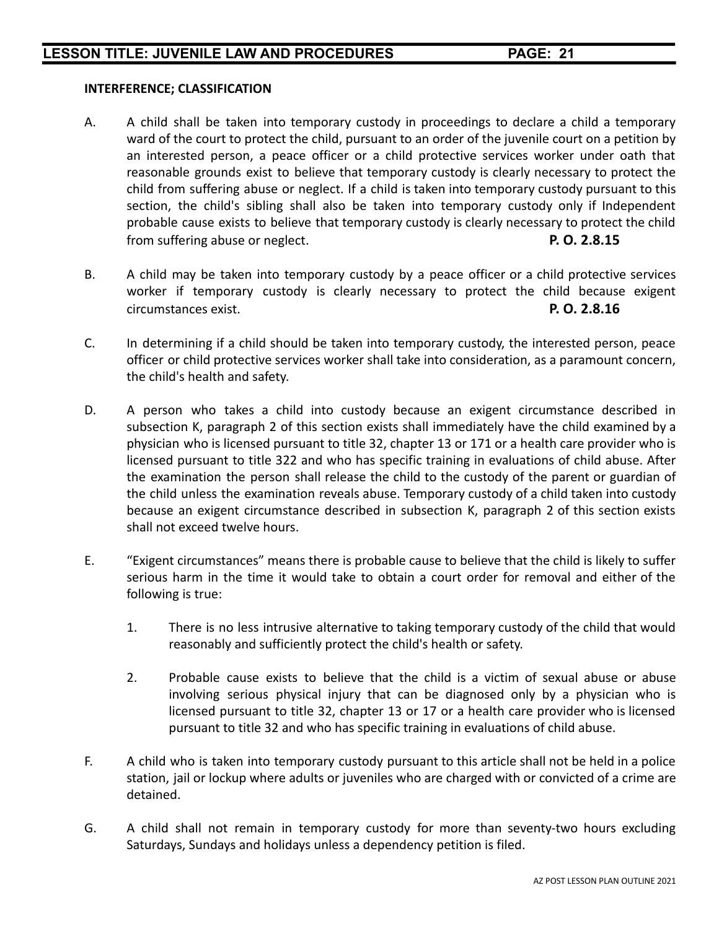### **INTERFERENCE; CLASSIFICATION**

- A. A child shall be taken into temporary custody in proceedings to declare a child a temporary ward of the court to protect the child, pursuant to an order of the juvenile court on a petition by an interested person, a peace officer or a child protective services worker under oath that reasonable grounds exist to believe that temporary custody is clearly necessary to protect the child from suffering abuse or neglect. If a child is taken into temporary custody pursuant to this section, the child's sibling shall also be taken into temporary custody only if Independent probable cause exists to believe that temporary custody is clearly necessary to protect the child from suffering abuse or neglect. **P. O. 2.8.15**
- B. A child may be taken into temporary custody by a peace officer or a child protective services worker if temporary custody is clearly necessary to protect the child because exigent circumstances exist. **P. O. 2.8.16**
- C. In determining if a child should be taken into temporary custody, the interested person, peace officer or child protective services worker shall take into consideration, as a paramount concern, the child's health and safety.
- D. A person who takes a child into custody because an exigent circumstance described in subsection K, paragraph 2 of this section exists shall immediately have the child examined by a physician who is licensed pursuant to title 32, chapter 13 or 171 or a health care provider who is licensed pursuant to title 322 and who has specific training in evaluations of child abuse. After the examination the person shall release the child to the custody of the parent or guardian of the child unless the examination reveals abuse. Temporary custody of a child taken into custody because an exigent circumstance described in subsection K, paragraph 2 of this section exists shall not exceed twelve hours.
- E. "Exigent circumstances" means there is probable cause to believe that the child is likely to suffer serious harm in the time it would take to obtain a court order for removal and either of the following is true:
	- 1. There is no less intrusive alternative to taking temporary custody of the child that would reasonably and sufficiently protect the child's health or safety.
	- 2. Probable cause exists to believe that the child is a victim of sexual abuse or abuse involving serious physical injury that can be diagnosed only by a physician who is licensed pursuant to title 32, chapter 13 or 17 or a health care provider who is licensed pursuant to title 32 and who has specific training in evaluations of child abuse.
- F. A child who is taken into temporary custody pursuant to this article shall not be held in a police station, jail or lockup where adults or juveniles who are charged with or convicted of a crime are detained.
- G. A child shall not remain in temporary custody for more than seventy-two hours excluding Saturdays, Sundays and holidays unless a dependency petition is filed.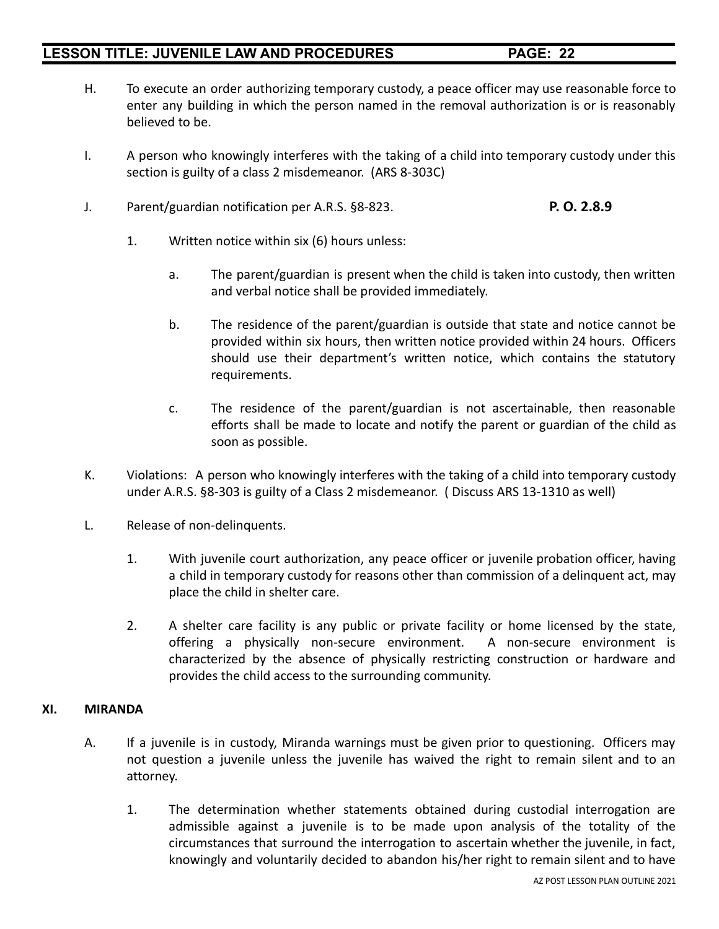- H. To execute an order authorizing temporary custody, a peace officer may use reasonable force to enter any building in which the person named in the removal authorization is or is reasonably believed to be.
- I. A person who knowingly interferes with the taking of a child into temporary custody under this section is guilty of a class 2 misdemeanor. (ARS 8-303C)
- J. Parent/guardian notification per A.R.S. §8-823. **P. O. 2.8.9**
	- 1. Written notice within six (6) hours unless:
		- a. The parent/guardian is present when the child is taken into custody, then written and verbal notice shall be provided immediately.
		- b. The residence of the parent/guardian is outside that state and notice cannot be provided within six hours, then written notice provided within 24 hours. Officers should use their department's written notice, which contains the statutory requirements.
		- c. The residence of the parent/guardian is not ascertainable, then reasonable efforts shall be made to locate and notify the parent or guardian of the child as soon as possible.
- K. Violations: A person who knowingly interferes with the taking of a child into temporary custody under A.R.S. §8-303 is guilty of a Class 2 misdemeanor. ( Discuss ARS 13-1310 as well)
- L. Release of non-delinquents.
	- 1. With juvenile court authorization, any peace officer or juvenile probation officer, having a child in temporary custody for reasons other than commission of a delinquent act, may place the child in shelter care.
	- 2. A shelter care facility is any public or private facility or home licensed by the state, offering a physically non-secure environment. A non-secure environment is characterized by the absence of physically restricting construction or hardware and provides the child access to the surrounding community.

### **XI. MIRANDA**

- A. If a juvenile is in custody, Miranda warnings must be given prior to questioning. Officers may not question a juvenile unless the juvenile has waived the right to remain silent and to an attorney.
	- 1. The determination whether statements obtained during custodial interrogation are admissible against a juvenile is to be made upon analysis of the totality of the circumstances that surround the interrogation to ascertain whether the juvenile, in fact, knowingly and voluntarily decided to abandon his/her right to remain silent and to have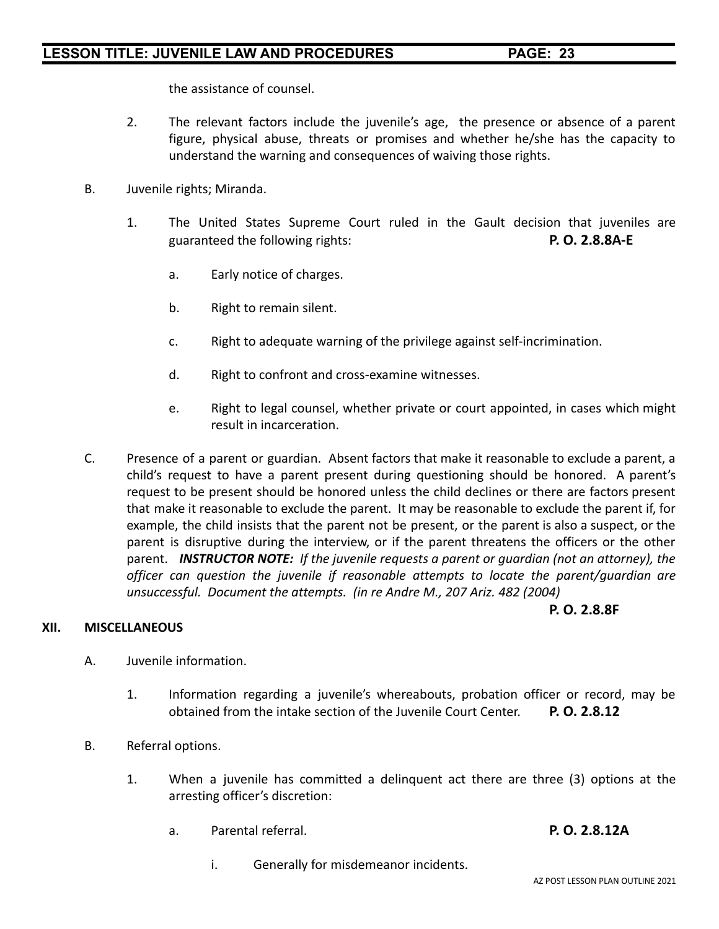the assistance of counsel.

- 2. The relevant factors include the juvenile's age, the presence or absence of a parent figure, physical abuse, threats or promises and whether he/she has the capacity to understand the warning and consequences of waiving those rights.
- B. Juvenile rights; Miranda.
	- 1. The United States Supreme Court ruled in the Gault decision that juveniles are guaranteed the following rights: **P. O. 2.8.8A-E**
		- a. Early notice of charges.
		- b. Right to remain silent.
		- c. Right to adequate warning of the privilege against self-incrimination.
		- d. Right to confront and cross-examine witnesses.
		- e. Right to legal counsel, whether private or court appointed, in cases which might result in incarceration.
- C. Presence of a parent or guardian. Absent factors that make it reasonable to exclude a parent, a child's request to have a parent present during questioning should be honored. A parent's request to be present should be honored unless the child declines or there are factors present that make it reasonable to exclude the parent. It may be reasonable to exclude the parent if, for example, the child insists that the parent not be present, or the parent is also a suspect, or the parent is disruptive during the interview, or if the parent threatens the officers or the other parent. *INSTRUCTOR NOTE: If the juvenile requests a parent or guardian (not an attorney), the officer can question the juvenile if reasonable attempts to locate the parent/guardian are unsuccessful. Document the attempts. (in re Andre M., 207 Ariz. 482 (2004)*

### **XII. MISCELLANEOUS**

**P. O. 2.8.8F**

- A. Juvenile information.
	- 1. Information regarding a juvenile's whereabouts, probation officer or record, may be obtained from the intake section of the Juvenile Court Center. **P. O. 2.8.12**
- B. Referral options.
	- 1. When a juvenile has committed a delinquent act there are three (3) options at the arresting officer's discretion:
		- a. Parental referral. **P. O. 2.8.12A**
			- i. Generally for misdemeanor incidents.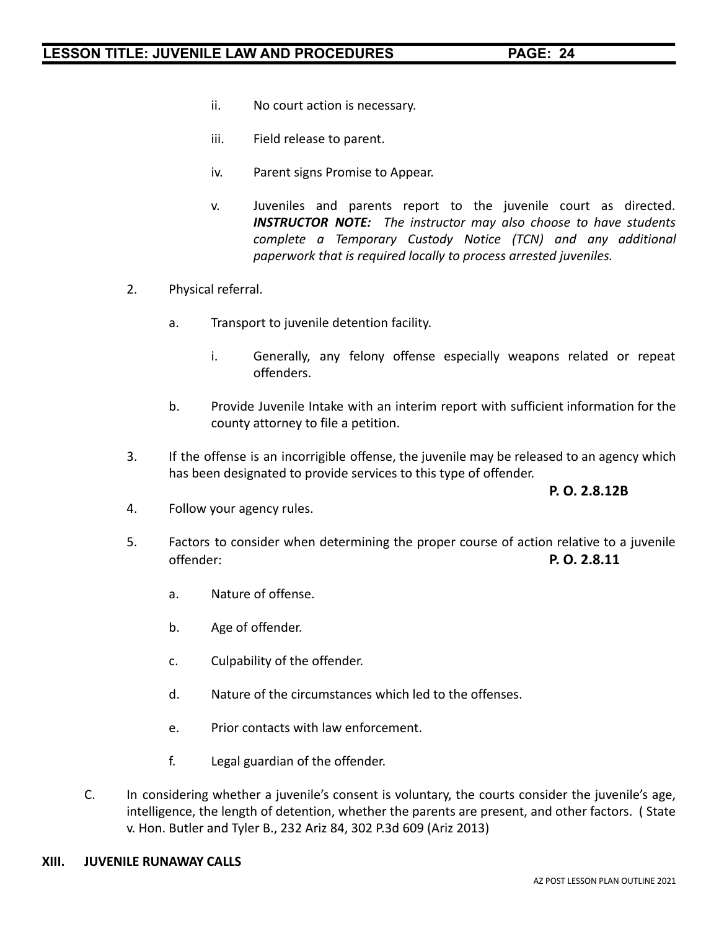- ii. No court action is necessary.
- iii. Field release to parent.
- iv. Parent signs Promise to Appear.
- v. Juveniles and parents report to the juvenile court as directed. *INSTRUCTOR NOTE: The instructor may also choose to have students complete a Temporary Custody Notice (TCN) and any additional paperwork that is required locally to process arrested juveniles.*
- 2. Physical referral.
	- a. Transport to juvenile detention facility.
		- i. Generally, any felony offense especially weapons related or repeat offenders.
	- b. Provide Juvenile Intake with an interim report with sufficient information for the county attorney to file a petition.
- 3. If the offense is an incorrigible offense, the juvenile may be released to an agency which has been designated to provide services to this type of offender.

### **P. O. 2.8.12B**

- 4. Follow your agency rules.
- 5. Factors to consider when determining the proper course of action relative to a juvenile offender: **P. O. 2.8.11**
	- a. Nature of offense.
	- b. Age of offender.
	- c. Culpability of the offender.
	- d. Nature of the circumstances which led to the offenses.
	- e. Prior contacts with law enforcement.
	- f. Legal guardian of the offender.
- C. In considering whether a juvenile's consent is voluntary, the courts consider the juvenile's age, intelligence, the length of detention, whether the parents are present, and other factors. ( State v. Hon. Butler and Tyler B., 232 Ariz 84, 302 P.3d 609 (Ariz 2013)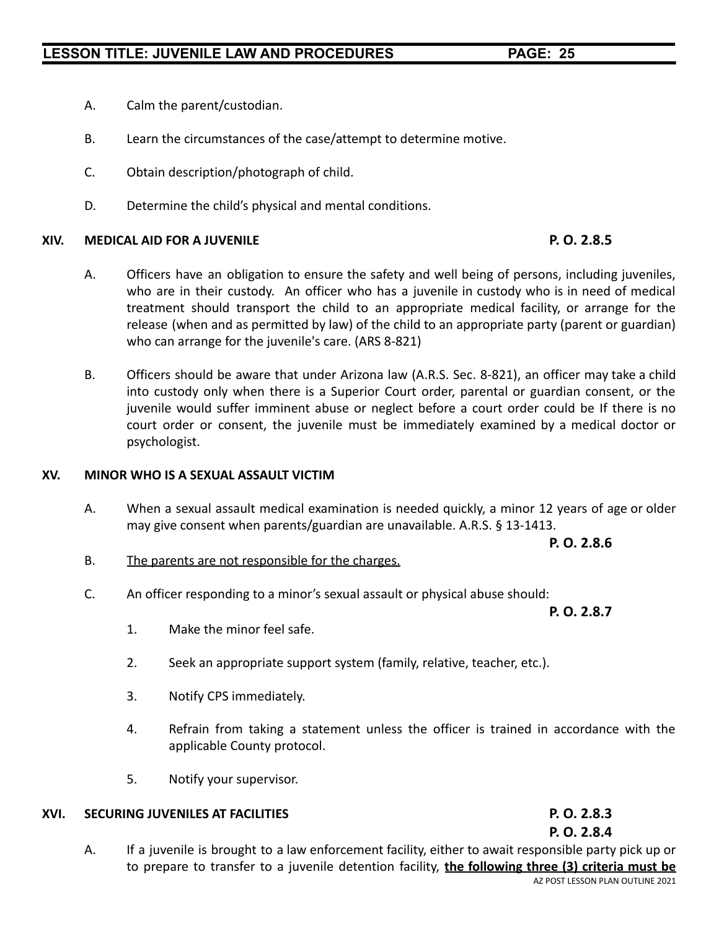- A. Calm the parent/custodian.
- B. Learn the circumstances of the case/attempt to determine motive.
- C. Obtain description/photograph of child.
- D. Determine the child's physical and mental conditions.

### **XIV. MEDICAL AID FOR A JUVENILE P. O. 2.8.5**

- A. Officers have an obligation to ensure the safety and well being of persons, including juveniles, who are in their custody. An officer who has a juvenile in custody who is in need of medical treatment should transport the child to an appropriate medical facility, or arrange for the release (when and as permitted by law) of the child to an appropriate party (parent or guardian) who can arrange for the juvenile's care. (ARS 8-821)
- B. Officers should be aware that under Arizona law (A.R.S. Sec. 8-821), an officer may take a child into custody only when there is a Superior Court order, parental or guardian consent, or the juvenile would suffer imminent abuse or neglect before a court order could be If there is no court order or consent, the juvenile must be immediately examined by a medical doctor or psychologist.

### **XV. MINOR WHO IS A SEXUAL ASSAULT VICTIM**

A. When a sexual assault medical examination is needed quickly, a minor 12 years of age or older may give consent when parents/guardian are unavailable. A.R.S. § 13-1413.

### **P. O. 2.8.6**

- B. The parents are not responsible for the charges.
- C. An officer responding to a minor's sexual assault or physical abuse should:

### **P. O. 2.8.7**

- 1. Make the minor feel safe.
- 2. Seek an appropriate support system (family, relative, teacher, etc.).
- 3. Notify CPS immediately.
- 4. Refrain from taking a statement unless the officer is trained in accordance with the applicable County protocol.
- 5. Notify your supervisor.

### **XVI. SECURING JUVENILES AT FACILITIES P. O. 2.8.3**

### **P. O. 2.8.4**

A. If a juvenile is brought to a law enforcement facility, either to await responsible party pick up or to prepare to transfer to a juvenile detention facility, **the following three (3) criteria must be**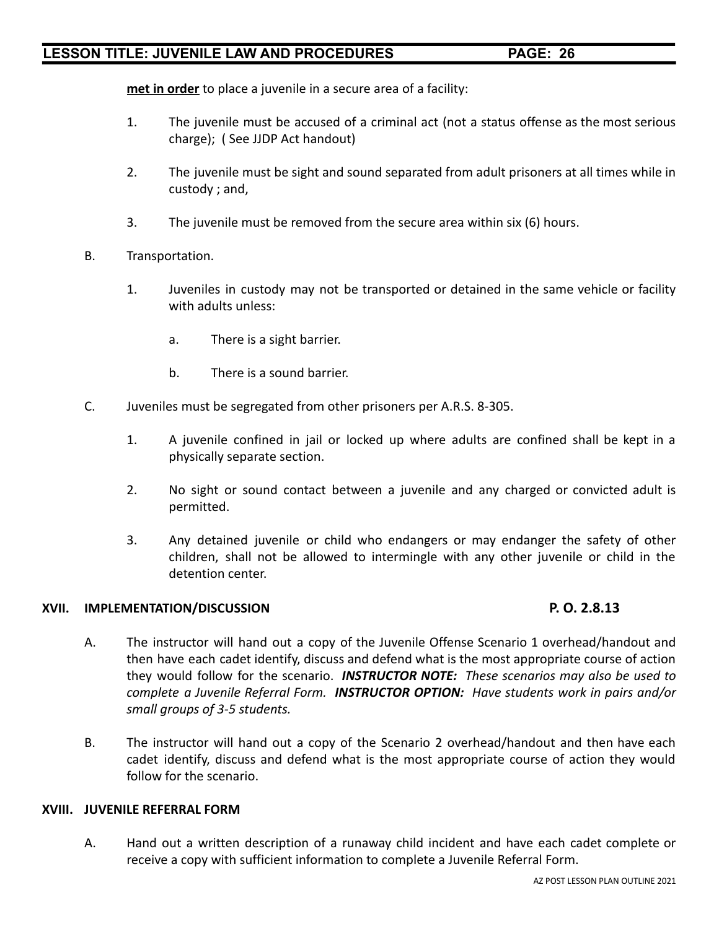**met in order** to place a juvenile in a secure area of a facility:

- 1. The juvenile must be accused of a criminal act (not a status offense as the most serious charge); ( See JJDP Act handout)
- 2. The juvenile must be sight and sound separated from adult prisoners at all times while in custody ; and,
- 3. The juvenile must be removed from the secure area within six (6) hours.
- B. Transportation.
	- 1. Juveniles in custody may not be transported or detained in the same vehicle or facility with adults unless:
		- a. There is a sight barrier.
		- b. There is a sound barrier.
- C. Juveniles must be segregated from other prisoners per A.R.S. 8-305.
	- 1. A juvenile confined in jail or locked up where adults are confined shall be kept in a physically separate section.
	- 2. No sight or sound contact between a juvenile and any charged or convicted adult is permitted.
	- 3. Any detained juvenile or child who endangers or may endanger the safety of other children, shall not be allowed to intermingle with any other juvenile or child in the detention center.

### **XVII. IMPLEMENTATION/DISCUSSION P. O. 2.8.13**

- A. The instructor will hand out a copy of the Juvenile Offense Scenario 1 overhead/handout and then have each cadet identify, discuss and defend what is the most appropriate course of action they would follow for the scenario. *INSTRUCTOR NOTE: These scenarios may also be used to complete a Juvenile Referral Form. INSTRUCTOR OPTION: Have students work in pairs and/or small groups of 3-5 students.*
- B. The instructor will hand out a copy of the Scenario 2 overhead/handout and then have each cadet identify, discuss and defend what is the most appropriate course of action they would follow for the scenario.

### **XVIII. JUVENILE REFERRAL FORM**

A. Hand out a written description of a runaway child incident and have each cadet complete or receive a copy with sufficient information to complete a Juvenile Referral Form.